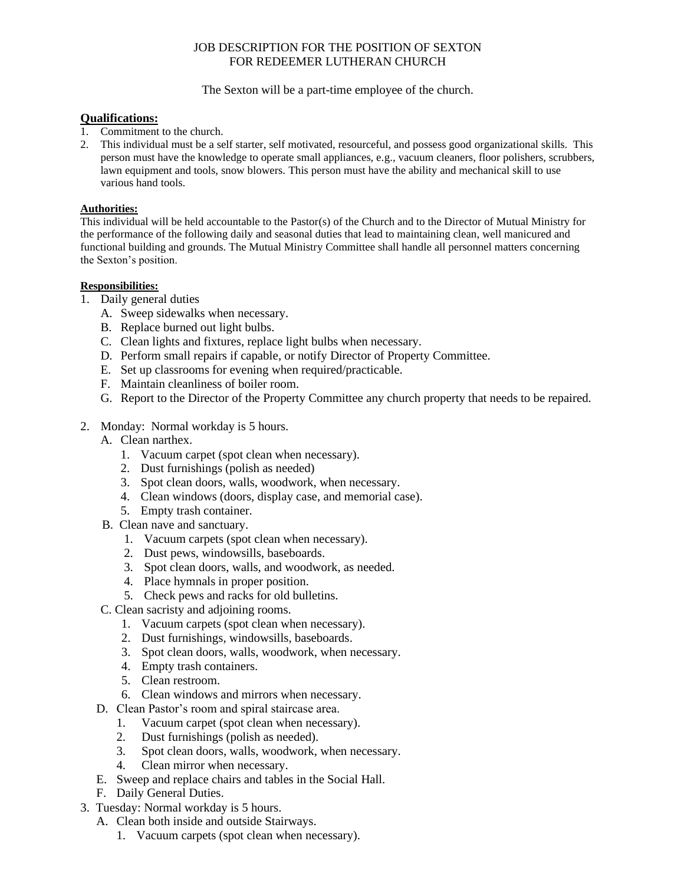## JOB DESCRIPTION FOR THE POSITION OF SEXTON FOR REDEEMER LUTHERAN CHURCH

The Sexton will be a part-time employee of the church.

## **Qualifications:**

- 1. Commitment to the church.
- 2. This individual must be a self starter, self motivated, resourceful, and possess good organizational skills. This person must have the knowledge to operate small appliances, e.g., vacuum cleaners, floor polishers, scrubbers, lawn equipment and tools, snow blowers. This person must have the ability and mechanical skill to use various hand tools.

## **Authorities:**

This individual will be held accountable to the Pastor(s) of the Church and to the Director of Mutual Ministry for the performance of the following daily and seasonal duties that lead to maintaining clean, well manicured and functional building and grounds. The Mutual Ministry Committee shall handle all personnel matters concerning the Sexton's position.

## **Responsibilities:**

- 1. Daily general duties
	- A. Sweep sidewalks when necessary.
	- B. Replace burned out light bulbs.
	- C. Clean lights and fixtures, replace light bulbs when necessary.
	- D. Perform small repairs if capable, or notify Director of Property Committee.
	- E. Set up classrooms for evening when required/practicable.
	- F. Maintain cleanliness of boiler room.
	- G. Report to the Director of the Property Committee any church property that needs to be repaired.
- 2. Monday: Normal workday is 5 hours.
	- A. Clean narthex.
		- 1. Vacuum carpet (spot clean when necessary).
		- 2. Dust furnishings (polish as needed)
		- 3. Spot clean doors, walls, woodwork, when necessary.
		- 4. Clean windows (doors, display case, and memorial case).
		- 5. Empty trash container.
	- B. Clean nave and sanctuary.
		- 1. Vacuum carpets (spot clean when necessary).
		- 2. Dust pews, windowsills, baseboards.
		- 3. Spot clean doors, walls, and woodwork, as needed.
		- 4. Place hymnals in proper position.
		- 5. Check pews and racks for old bulletins.
	- C. Clean sacristy and adjoining rooms.
		- 1. Vacuum carpets (spot clean when necessary).
		- 2. Dust furnishings, windowsills, baseboards.
		- 3. Spot clean doors, walls, woodwork, when necessary.
		- 4. Empty trash containers.
		- 5. Clean restroom.
		- 6. Clean windows and mirrors when necessary.
	- D. Clean Pastor's room and spiral staircase area.
		- 1. Vacuum carpet (spot clean when necessary).
		- 2. Dust furnishings (polish as needed).
		- 3. Spot clean doors, walls, woodwork, when necessary.
		- 4. Clean mirror when necessary.
	- E. Sweep and replace chairs and tables in the Social Hall.
	- F. Daily General Duties.
- 3. Tuesday: Normal workday is 5 hours.
	- A. Clean both inside and outside Stairways.
		- 1. Vacuum carpets (spot clean when necessary).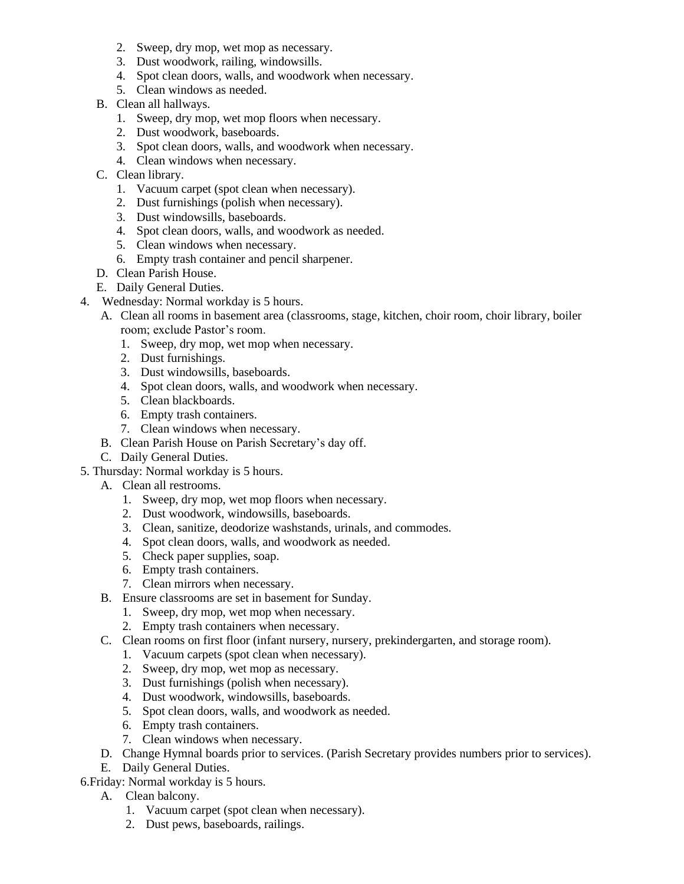- 2. Sweep, dry mop, wet mop as necessary.
- 3. Dust woodwork, railing, windowsills.
- 4. Spot clean doors, walls, and woodwork when necessary.
- 5. Clean windows as needed.
- B. Clean all hallways.
	- 1. Sweep, dry mop, wet mop floors when necessary.
	- 2. Dust woodwork, baseboards.
	- 3. Spot clean doors, walls, and woodwork when necessary.
	- 4. Clean windows when necessary.
- C. Clean library.
	- 1. Vacuum carpet (spot clean when necessary).
	- 2. Dust furnishings (polish when necessary).
	- 3. Dust windowsills, baseboards.
	- 4. Spot clean doors, walls, and woodwork as needed.
	- 5. Clean windows when necessary.
	- 6. Empty trash container and pencil sharpener.
- D. Clean Parish House.
- E. Daily General Duties.
- 4. Wednesday: Normal workday is 5 hours.
	- A. Clean all rooms in basement area (classrooms, stage, kitchen, choir room, choir library, boiler room; exclude Pastor's room.
		- 1. Sweep, dry mop, wet mop when necessary.
		- 2. Dust furnishings.
		- 3. Dust windowsills, baseboards.
		- 4. Spot clean doors, walls, and woodwork when necessary.
		- 5. Clean blackboards.
		- 6. Empty trash containers.
		- 7. Clean windows when necessary.
	- B. Clean Parish House on Parish Secretary's day off.
	- C. Daily General Duties.
- 5. Thursday: Normal workday is 5 hours.
	- A. Clean all restrooms.
		- 1. Sweep, dry mop, wet mop floors when necessary.
		- 2. Dust woodwork, windowsills, baseboards.
		- 3. Clean, sanitize, deodorize washstands, urinals, and commodes.
		- 4. Spot clean doors, walls, and woodwork as needed.
		- 5. Check paper supplies, soap.
		- 6. Empty trash containers.
		- 7. Clean mirrors when necessary.
	- B. Ensure classrooms are set in basement for Sunday.
		- 1. Sweep, dry mop, wet mop when necessary.
		- 2. Empty trash containers when necessary.
	- C. Clean rooms on first floor (infant nursery, nursery, prekindergarten, and storage room).
		- 1. Vacuum carpets (spot clean when necessary).
		- 2. Sweep, dry mop, wet mop as necessary.
		- 3. Dust furnishings (polish when necessary).
		- 4. Dust woodwork, windowsills, baseboards.
		- 5. Spot clean doors, walls, and woodwork as needed.
		- 6. Empty trash containers.
		- 7. Clean windows when necessary.
	- D. Change Hymnal boards prior to services. (Parish Secretary provides numbers prior to services).
	- E. Daily General Duties.

6.Friday: Normal workday is 5 hours.

- A. Clean balcony.
	- 1. Vacuum carpet (spot clean when necessary).
	- 2. Dust pews, baseboards, railings.